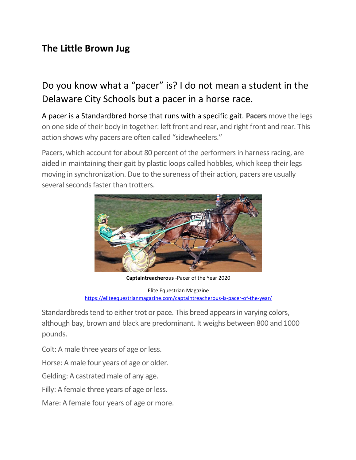## **The Little Brown Jug**

# Do you know what a "pacer" is? I do not mean a student in the Delaware City Schools but a pacer in a horse race.

A pacer is a Standardbred horse that runs with a specific gait. **Pacers** move the legs on one side of their body in together: left front and rear, and right front and rear. This action shows why pacers are often called "sidewheelers."

Pacers, which account for about 80 percent of the performers in harness racing, are aided in maintaining their gait by plastic loops called hobbles, which keep their legs moving in synchronization. Due to the sureness of their action, pacers are usually several seconds faster than trotters.



**Captaintreacherous** -Pacer of the Year 2020 Elite Equestrian Magazine <https://eliteequestrianmagazine.com/captaintreacherous-is-pacer-of-the-year/>

Standardbreds tend to either trot or pace. This breed appears in varying colors, although bay, brown and black are predominant. It weighs between 800 and 1000

pounds.

Colt: A male three years of age or less.

Horse: A male four years of age or older.

Gelding: A castrated male of any age.

Filly: A female three years of age or less.

Mare: A female four years of age or more.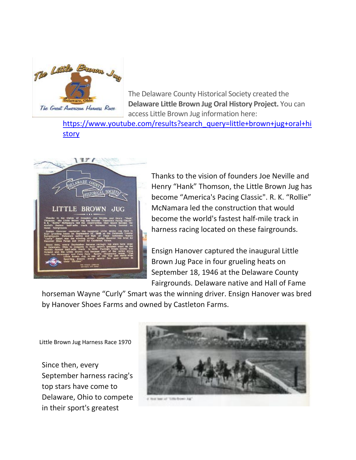

The Delaware County Historical Society created the **Delaware Little Brown Jug Oral History Project.** You can access Little Brown Jug information here:

[https://www.youtube.com/results?search\\_query=little+brown+jug+oral+hi](https://www.youtube.com/results?search_query=little+brown+jug+oral+history) [story](https://www.youtube.com/results?search_query=little+brown+jug+oral+history)



Thanks to the vision of founders Joe Neville and Henry "Hank" Thomson, the Little Brown Jug has become "America's Pacing Classic". R. K. "Rollie" McNamara led the construction that would become the world's fastest half-mile track in harness racing located on these fairgrounds.

Ensign Hanover captured the inaugural Little Brown Jug Pace in four grueling heats on September 18, 1946 at the Delaware County Fairgrounds. Delaware native and Hall of Fame

horseman Wayne "Curly" Smart was the winning driver. Ensign Hanover was bred by Hanover Shoes Farms and owned by Castleton Farms.

Little Brown Jug Harness Race 1970

Since then, every September harness racing's top stars have come to Delaware, Ohio to compete in their sport's greatest

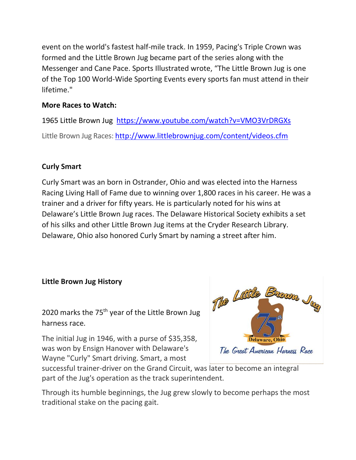event on the world's fastest half-mile track. In 1959, Pacing's Triple Crown was formed and the Little Brown Jug became part of the series along with the Messenger and Cane Pace. Sports Illustrated wrote, "The Little Brown Jug is one of the Top 100 World-Wide Sporting Events every sports fan must attend in their lifetime."

### **More Races to Watch:**

1965 Little Brown Jug <https://www.youtube.com/watch?v=VMO3VrDRGXs> Little Brown Jug Races:<http://www.littlebrownjug.com/content/videos.cfm>

#### **Curly Smart**

Curly Smart was an born in Ostrander, Ohio and was elected into the Harness Racing Living Hall of Fame due to winning over 1,800 races in his career. He was a trainer and a driver for fifty years. He is particularly noted for his wins at Delaware's Little Brown Jug races. The Delaware Historical Society exhibits a set of his silks and other Little Brown Jug items at the Cryder Research Library. Delaware, Ohio also honored Curly Smart by naming a street after him.

#### **Little Brown Jug History**

2020 marks the 75<sup>th</sup> year of the Little Brown Jug harness race.

The initial Jug in 1946, with a purse of \$35,358, was won by Ensign Hanover with Delaware's Wayne "Curly" Smart driving. Smart, a most



successful trainer-driver on the Grand Circuit, was later to become an integral part of the Jug's operation as the track superintendent.

Through its humble beginnings, the Jug grew slowly to become perhaps the most traditional stake on the pacing gait.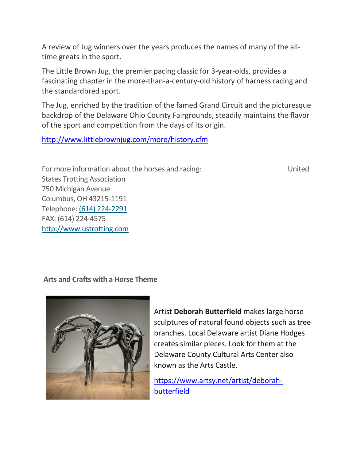A review of Jug winners over the years produces the names of many of the alltime greats in the sport.

The Little Brown Jug, the premier pacing classic for 3-year-olds, provides a fascinating chapter in the more-than-a-century-old history of harness racing and the standardbred sport.

The Jug, enriched by the tradition of the famed Grand Circuit and the picturesque backdrop of the Delaware Ohio County Fairgrounds, steadily maintains the flavor of the sport and competition from the days of its origin.

<http://www.littlebrownjug.com/more/history.cfm>

For more information about the horses and racing: United States Trotting Association 750 Michigan Avenue Columbus, OH 43215-1191 Telephone: [\(614\) 224-2291](tel:6142242291) FAX: (614) 224-4575 [http://www.ustrotting.com](http://www.ustrotting.com/)

#### **Arts and Crafts with a Horse Theme**



Artist **Deborah Butterfield** makes large horse sculptures of natural found objects such as tree branches. Local Delaware artist Diane Hodges creates similar pieces. Look for them at the Delaware County Cultural Arts Center also known as the Arts Castle.

[https://www.artsy.net/artist/deborah](https://www.artsy.net/artist/deborah-butterfield)[butterfield](https://www.artsy.net/artist/deborah-butterfield)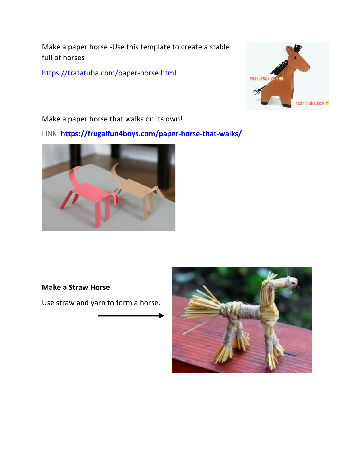Make a paper horse -Use this template to create a stable full of horses

<https://tratatuha.com/paper-horse.html>



Make a paper horse that walks on its own!

LINK: **[https://frugalfun4boys.com/paper-horse-that-walks/](https://l.facebook.com/l.php?u=https%3A%2F%2Ffrugalfun4boys.com%2Fpaper-horse-that-walks%2F%3Ffbclid%3DIwAR1GQod4UVJ-QN8tE1brWJCaHvJgPzI5APuwQA4hXeZ5Z-2WxcOpeUALeCc&h=AT3MmWvObfFhcLkd1uHZaipYSMh5ImUzL8iiDlHeWAPB4Xfkumypd_cWhVedAog11Mzga8OMQxbjKQKiTaVYsXKOgjcrnki4sQdxMvDhuFtaGtaKSR4jE4zG1LpRERukzw&c%5b0%5d=AT3QvtlXJY3b9plw3fB9AiZzLzyQeBhg2PAjnYGnVXrJJPFLR1SXqyrEbtsuGxwDqdXuc47hUM3yUptk3RStxEZIGPEkFBWpJz_knPo4IdPOQor6pLVyaP5Q1eTEvng6kxUCisU0IsYJz6-Q53usekQR3xMTQT0Z0CtIfkrlCGDJn13YXA)**



#### **Make a Straw Horse**

Use straw and yarn to form a horse.